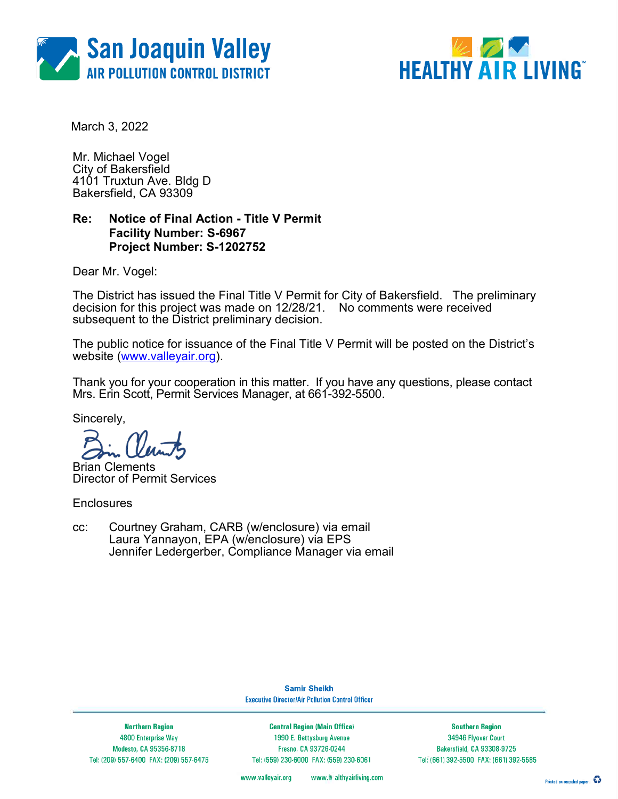



March 3, 2022

Mr. Michael Vogel City of Bakersfield 4101 Truxtun Ave. Bldg D Bakersfield, CA 93309

### Re: Notice of Final Action - Title V Permit Facility Number: S-6967 Project Number: S-1202752

Dear Mr. Vogel:

The District has issued the Final Title V Permit for City of Bakersfield. The preliminary decision for this project was made on 12/28/21. No comments were received subsequent to the District preliminary decision.

The public notice for issuance of the Final Title V Permit will be posted on the District's website (www.valleyair.org).

Thank you for your cooperation in this matter. If you have any questions, please contact Mrs. Erin Scott, Permit Services Manager, at 661-392-5500.

Sincerely,

Brian Clements Director of Permit Services

**Enclosures** 

cc: Courtney Graham, CARB (w/enclosure) via email Laura Yannayon, EPA (w/enclosure) via EPS Jennifer Ledergerber, Compliance Manager via email

> **Samir Sheikh Executive Director/Air Pollution Control Officer**

**Northern Region** 4800 Enterprise Way Modesto, CA 95356-8718 Tel: (209) 557-6400 FAX: (209) 557-6475

**Central Region (Main Office)** 1990 E. Gettysburg Avenue Fresno, CA 93726-0244 Tel: (559) 230-6000 FAX: (559) 230-6061

**Southern Region** 34946 Flyover Court Bakersfield, CA 93308-9725 Tel: (661) 392-5500 FAX: (661) 392-5585

www.valleyair.org www.# althyairliving.com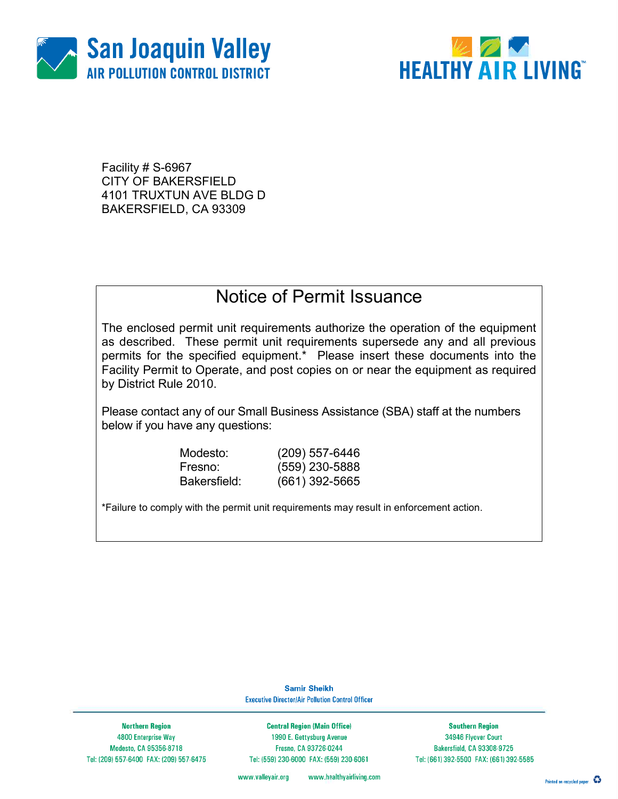



Facility # S-6967 CITY OF BAKERSFIELD 4101 TRUXTUN AVE BLDG D BAKERSFIELD, CA 93309

## Notice of Permit Issuance

The enclosed permit unit requirements authorize the operation of the equipment as described. These permit unit requirements supersede any and all previous permits for the specified equipment.\* Please insert these documents into the Facility Permit to Operate, and post copies on or near the equipment as required by District Rule 2010.

Please contact any of our Small Business Assistance (SBA) staff at the numbers below if you have any questions:

Modesto: (209) 557-6446

Fresno: (559) 230-5888 Bakersfield: (661) 392-5665

\*Failure to comply with the permit unit requirements may result in enforcement action.

**Samir Sheikh Executive Director/Air Pollution Control Officer** 

**Northern Region** 4800 Enterprise Way Modesto, CA 95356-8718 Tel: (209) 557-6400 FAX: (209) 557-6475

**Central Region (Main Office)** 1990 E. Gettysburg Avenue Fresno, CA 93726-0244 Tel: (559) 230-6000 FAX: (559) 230-6061

**Southern Region** 34946 Flyover Court Bakersfield, CA 93308-9725 Tel: (661) 392-5500 FAX: (661) 392-5585

www.healthyairliving.com www.valleyair.org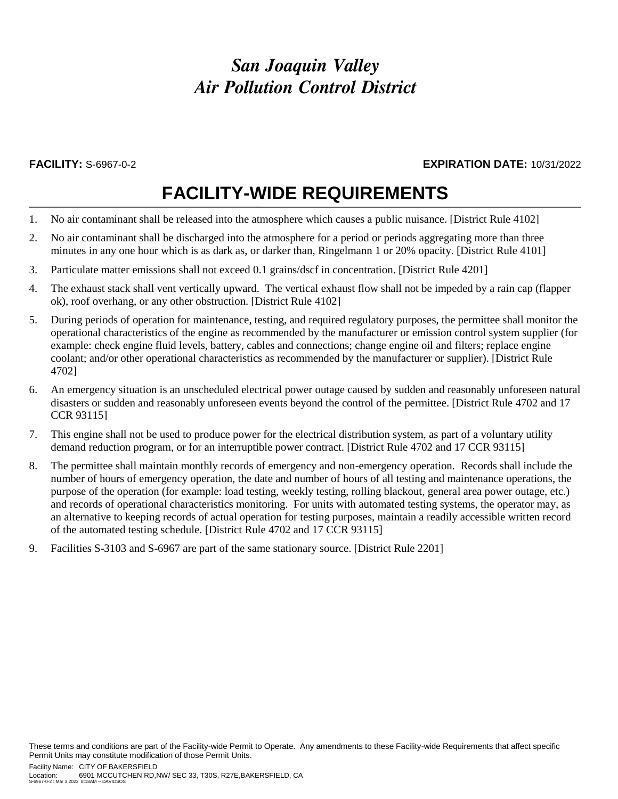# *San Joaquin Valley Air Pollution Control District*

### **FACILITY:** S-6967-0-2 **EXPIRATION DATE:** 10/31/2022

# **FACILITY-WIDE REQUIREMENTS**

- 1. No air contaminant shall be released into the atmosphere which causes a public nuisance. [District Rule 4102]
- 2. No air contaminant shall be discharged into the atmosphere for a period or periods aggregating more than three minutes in any one hour which is as dark as, or darker than, Ringelmann 1 or 20% opacity. [District Rule 4101]
- 3. Particulate matter emissions shall not exceed 0.1 grains/dscf in concentration. [District Rule 4201]
- 4. The exhaust stack shall vent vertically upward. The vertical exhaust flow shall not be impeded by a rain cap (flapper ok), roof overhang, or any other obstruction. [District Rule 4102]
- 5. During periods of operation for maintenance, testing, and required regulatory purposes, the permittee shall monitor the operational characteristics of the engine as recommended by the manufacturer or emission control system supplier (for example: check engine fluid levels, battery, cables and connections; change engine oil and filters; replace engine coolant; and/or other operational characteristics as recommended by the manufacturer or supplier). [District Rule 4702]
- 6. An emergency situation is an unscheduled electrical power outage caused by sudden and reasonably unforeseen natural disasters or sudden and reasonably unforeseen events beyond the control of the permittee. [District Rule 4702 and 17 CCR 93115]
- 7. This engine shall not be used to produce power for the electrical distribution system, as part of a voluntary utility demand reduction program, or for an interruptible power contract. [District Rule 4702 and 17 CCR 93115]
- 8. The permittee shall maintain monthly records of emergency and non-emergency operation. Records shall include the number of hours of emergency operation, the date and number of hours of all testing and maintenance operations, the purpose of the operation (for example: load testing, weekly testing, rolling blackout, general area power outage, etc.) and records of operational characteristics monitoring. For units with automated testing systems, the operator may, as an alternative to keeping records of actual operation for testing purposes, maintain a readily accessible written record of the automated testing schedule. [District Rule 4702 and 17 CCR 93115]
- 9. Facilities S-3103 and S-6967 are part of the same stationary source. [District Rule 2201]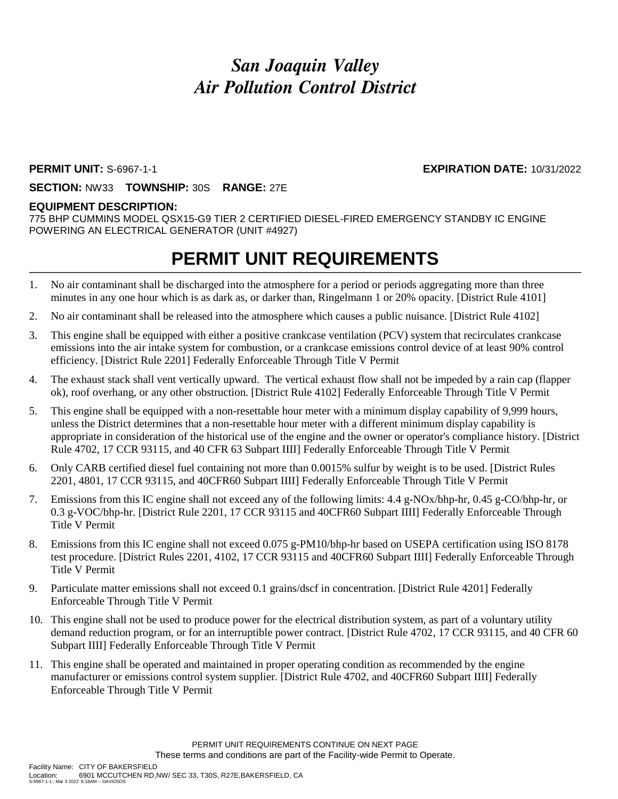# *San Joaquin Valley Air Pollution Control District*

### **PERMIT UNIT:** S-6967-1-1 **EXPIRATION DATE:** 10/31/2022

### **SECTION:** NW33 **TOWNSHIP:** 30S **RANGE:** 27E

### **EQUIPMENT DESCRIPTION:**

775 BHP CUMMINS MODEL QSX15-G9 TIER 2 CERTIFIED DIESEL-FIRED EMERGENCY STANDBY IC ENGINE POWERING AN ELECTRICAL GENERATOR (UNIT #4927)

## **PERMIT UNIT REQUIREMENTS**

- 1. No air contaminant shall be discharged into the atmosphere for a period or periods aggregating more than three minutes in any one hour which is as dark as, or darker than, Ringelmann 1 or 20% opacity. [District Rule 4101]
- 2. No air contaminant shall be released into the atmosphere which causes a public nuisance. [District Rule 4102]
- 3. This engine shall be equipped with either a positive crankcase ventilation (PCV) system that recirculates crankcase emissions into the air intake system for combustion, or a crankcase emissions control device of at least 90% control efficiency. [District Rule 2201] Federally Enforceable Through Title V Permit
- 4. The exhaust stack shall vent vertically upward. The vertical exhaust flow shall not be impeded by a rain cap (flapper ok), roof overhang, or any other obstruction. [District Rule 4102] Federally Enforceable Through Title V Permit
- 5. This engine shall be equipped with a non-resettable hour meter with a minimum display capability of 9,999 hours, unless the District determines that a non-resettable hour meter with a different minimum display capability is appropriate in consideration of the historical use of the engine and the owner or operator's compliance history. [District Rule 4702, 17 CCR 93115, and 40 CFR 63 Subpart IIII] Federally Enforceable Through Title V Permit
- 6. Only CARB certified diesel fuel containing not more than 0.0015% sulfur by weight is to be used. [District Rules 2201, 4801, 17 CCR 93115, and 40CFR60 Subpart IIII] Federally Enforceable Through Title V Permit
- 7. Emissions from this IC engine shall not exceed any of the following limits: 4.4 g-NOx/bhp-hr, 0.45 g-CO/bhp-hr, or 0.3 g-VOC/bhp-hr. [District Rule 2201, 17 CCR 93115 and 40CFR60 Subpart IIII] Federally Enforceable Through Title V Permit
- 8. Emissions from this IC engine shall not exceed 0.075 g-PM10/bhp-hr based on USEPA certification using ISO 8178 test procedure. [District Rules 2201, 4102, 17 CCR 93115 and 40CFR60 Subpart IIII] Federally Enforceable Through Title V Permit
- 9. Particulate matter emissions shall not exceed 0.1 grains/dscf in concentration. [District Rule 4201] Federally Enforceable Through Title V Permit
- 10. This engine shall not be used to produce power for the electrical distribution system, as part of a voluntary utility demand reduction program, or for an interruptible power contract. [District Rule 4702, 17 CCR 93115, and 40 CFR 60 Subpart IIII] Federally Enforceable Through Title V Permit
- 11. This engine shall be operated and maintained in proper operating condition as recommended by the engine manufacturer or emissions control system supplier. [District Rule 4702, and 40CFR60 Subpart IIII] Federally Enforceable Through Title V Permit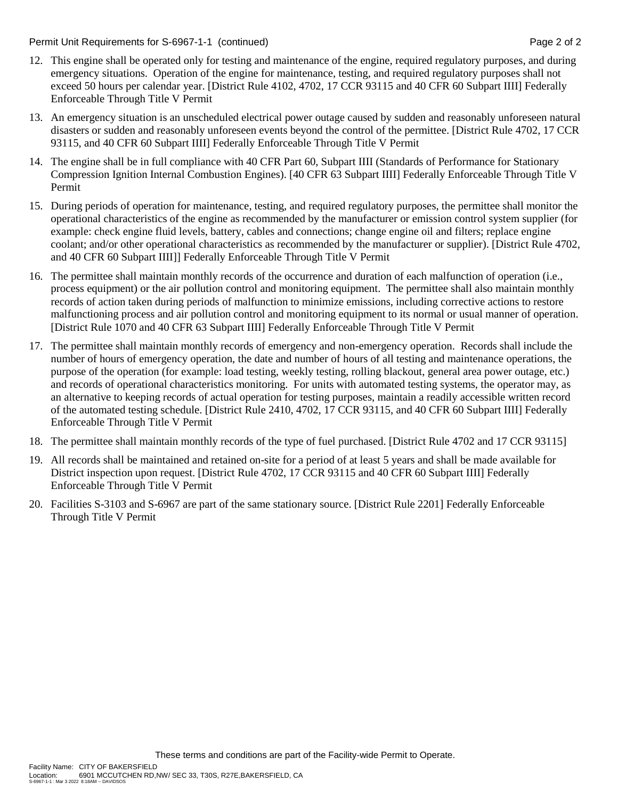Permit Unit Requirements for S-6967-1-1 (continued) **Page 2** of 2

- 12. This engine shall be operated only for testing and maintenance of the engine, required regulatory purposes, and during emergency situations. Operation of the engine for maintenance, testing, and required regulatory purposes shall not exceed 50 hours per calendar year. [District Rule 4102, 4702, 17 CCR 93115 and 40 CFR 60 Subpart IIII] Federally Enforceable Through Title V Permit
- 13. An emergency situation is an unscheduled electrical power outage caused by sudden and reasonably unforeseen natural disasters or sudden and reasonably unforeseen events beyond the control of the permittee. [District Rule 4702, 17 CCR 93115, and 40 CFR 60 Subpart IIII] Federally Enforceable Through Title V Permit
- 14. The engine shall be in full compliance with 40 CFR Part 60, Subpart IIII (Standards of Performance for Stationary Compression Ignition Internal Combustion Engines). [40 CFR 63 Subpart IIII] Federally Enforceable Through Title V Permit
- 15. During periods of operation for maintenance, testing, and required regulatory purposes, the permittee shall monitor the operational characteristics of the engine as recommended by the manufacturer or emission control system supplier (for example: check engine fluid levels, battery, cables and connections; change engine oil and filters; replace engine coolant; and/or other operational characteristics as recommended by the manufacturer or supplier). [District Rule 4702, and 40 CFR 60 Subpart IIII]] Federally Enforceable Through Title V Permit
- 16. The permittee shall maintain monthly records of the occurrence and duration of each malfunction of operation (i.e., process equipment) or the air pollution control and monitoring equipment. The permittee shall also maintain monthly records of action taken during periods of malfunction to minimize emissions, including corrective actions to restore malfunctioning process and air pollution control and monitoring equipment to its normal or usual manner of operation. [District Rule 1070 and 40 CFR 63 Subpart IIII] Federally Enforceable Through Title V Permit
- 17. The permittee shall maintain monthly records of emergency and non-emergency operation. Records shall include the number of hours of emergency operation, the date and number of hours of all testing and maintenance operations, the purpose of the operation (for example: load testing, weekly testing, rolling blackout, general area power outage, etc.) and records of operational characteristics monitoring. For units with automated testing systems, the operator may, as an alternative to keeping records of actual operation for testing purposes, maintain a readily accessible written record of the automated testing schedule. [District Rule 2410, 4702, 17 CCR 93115, and 40 CFR 60 Subpart IIII] Federally Enforceable Through Title V Permit
- 18. The permittee shall maintain monthly records of the type of fuel purchased. [District Rule 4702 and 17 CCR 93115]
- 19. All records shall be maintained and retained on-site for a period of at least 5 years and shall be made available for District inspection upon request. [District Rule 4702, 17 CCR 93115 and 40 CFR 60 Subpart IIII] Federally Enforceable Through Title V Permit
- 20. Facilities S-3103 and S-6967 are part of the same stationary source. [District Rule 2201] Federally Enforceable Through Title V Permit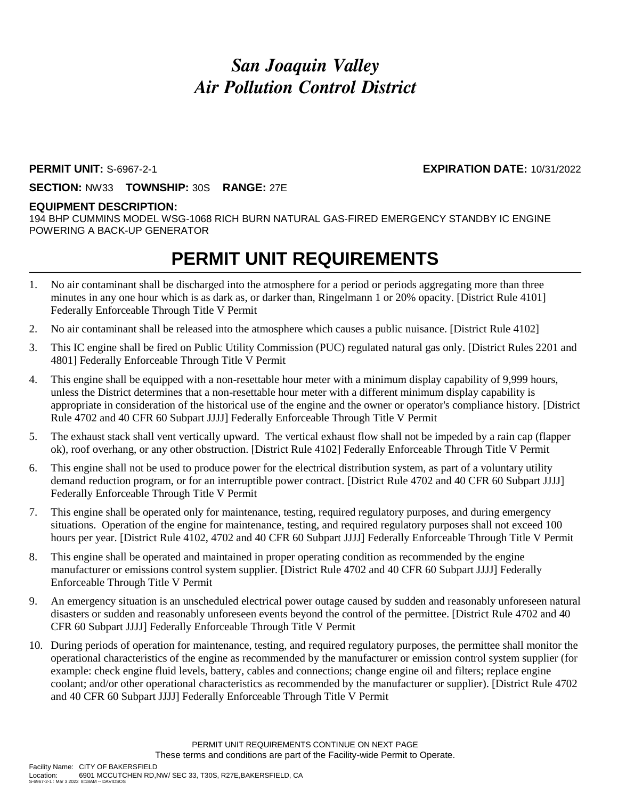# *San Joaquin Valley Air Pollution Control District*

### **PERMIT UNIT:** S-6967-2-1 **EXPIRATION DATE:** 10/31/2022

**SECTION:** NW33 **TOWNSHIP:** 30S **RANGE:** 27E

### **EQUIPMENT DESCRIPTION:**

194 BHP CUMMINS MODEL WSG-1068 RICH BURN NATURAL GAS-FIRED EMERGENCY STANDBY IC ENGINE POWERING A BACK-UP GENERATOR

# **PERMIT UNIT REQUIREMENTS**

- 1. No air contaminant shall be discharged into the atmosphere for a period or periods aggregating more than three minutes in any one hour which is as dark as, or darker than, Ringelmann 1 or 20% opacity. [District Rule 4101] Federally Enforceable Through Title V Permit
- 2. No air contaminant shall be released into the atmosphere which causes a public nuisance. [District Rule 4102]
- 3. This IC engine shall be fired on Public Utility Commission (PUC) regulated natural gas only. [District Rules 2201 and 4801] Federally Enforceable Through Title V Permit
- 4. This engine shall be equipped with a non-resettable hour meter with a minimum display capability of 9,999 hours, unless the District determines that a non-resettable hour meter with a different minimum display capability is appropriate in consideration of the historical use of the engine and the owner or operator's compliance history. [District Rule 4702 and 40 CFR 60 Subpart JJJJ] Federally Enforceable Through Title V Permit
- 5. The exhaust stack shall vent vertically upward. The vertical exhaust flow shall not be impeded by a rain cap (flapper ok), roof overhang, or any other obstruction. [District Rule 4102] Federally Enforceable Through Title V Permit
- 6. This engine shall not be used to produce power for the electrical distribution system, as part of a voluntary utility demand reduction program, or for an interruptible power contract. [District Rule 4702 and 40 CFR 60 Subpart JJJJ] Federally Enforceable Through Title V Permit
- 7. This engine shall be operated only for maintenance, testing, required regulatory purposes, and during emergency situations. Operation of the engine for maintenance, testing, and required regulatory purposes shall not exceed 100 hours per year. [District Rule 4102, 4702 and 40 CFR 60 Subpart JJJJ] Federally Enforceable Through Title V Permit
- 8. This engine shall be operated and maintained in proper operating condition as recommended by the engine manufacturer or emissions control system supplier. [District Rule 4702 and 40 CFR 60 Subpart JJJJ] Federally Enforceable Through Title V Permit
- 9. An emergency situation is an unscheduled electrical power outage caused by sudden and reasonably unforeseen natural disasters or sudden and reasonably unforeseen events beyond the control of the permittee. [District Rule 4702 and 40 CFR 60 Subpart JJJJ] Federally Enforceable Through Title V Permit
- 10. During periods of operation for maintenance, testing, and required regulatory purposes, the permittee shall monitor the operational characteristics of the engine as recommended by the manufacturer or emission control system supplier (for example: check engine fluid levels, battery, cables and connections; change engine oil and filters; replace engine coolant; and/or other operational characteristics as recommended by the manufacturer or supplier). [District Rule 4702 and 40 CFR 60 Subpart JJJJ] Federally Enforceable Through Title V Permit